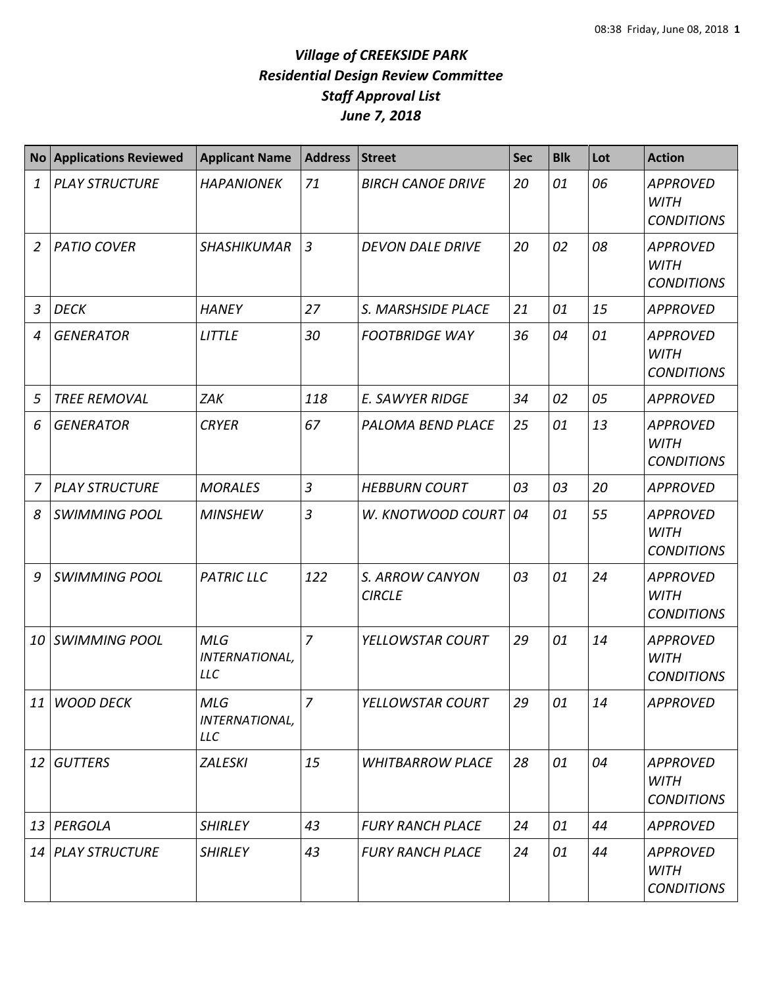| <b>No</b>       | <b>Applications Reviewed</b> | <b>Applicant Name</b>                      | <b>Address</b> | <b>Street</b>                    | <b>Sec</b> | <b>Blk</b> | Lot | <b>Action</b>                                       |
|-----------------|------------------------------|--------------------------------------------|----------------|----------------------------------|------------|------------|-----|-----------------------------------------------------|
| $\mathbf{1}$    | <b>PLAY STRUCTURE</b>        | <b>HAPANIONEK</b>                          | 71             | <b>BIRCH CANOE DRIVE</b>         | 20         | 01         | 06  | <b>APPROVED</b><br><b>WITH</b><br><b>CONDITIONS</b> |
| 2               | <b>PATIO COVER</b>           | <b>SHASHIKUMAR</b>                         | $\mathfrak{Z}$ | <b>DEVON DALE DRIVE</b>          | 20         | 02         | 08  | <b>APPROVED</b><br><b>WITH</b><br><b>CONDITIONS</b> |
| $\mathfrak{Z}$  | <b>DECK</b>                  | <b>HANEY</b>                               | 27             | S. MARSHSIDE PLACE               | 21         | 01         | 15  | <b>APPROVED</b>                                     |
| 4               | <b>GENERATOR</b>             | <b>LITTLE</b>                              | 30             | <b>FOOTBRIDGE WAY</b>            | 36         | 04         | 01  | <b>APPROVED</b><br><b>WITH</b><br><b>CONDITIONS</b> |
| 5               | <b>TREE REMOVAL</b>          | <b>ZAK</b>                                 | 118            | <b>E. SAWYER RIDGE</b>           | 34         | 02         | 05  | <b>APPROVED</b>                                     |
| 6               | <b>GENERATOR</b>             | <b>CRYER</b>                               | 67             | PALOMA BEND PLACE                | 25         | 01         | 13  | <b>APPROVED</b><br><b>WITH</b><br><b>CONDITIONS</b> |
| 7               | <b>PLAY STRUCTURE</b>        | <b>MORALES</b>                             | $\overline{3}$ | <b>HEBBURN COURT</b>             | 03         | 03         | 20  | <b>APPROVED</b>                                     |
| 8               | <b>SWIMMING POOL</b>         | <b>MINSHEW</b>                             | $\overline{3}$ | W. KNOTWOOD COURT                | 04         | 01         | 55  | <b>APPROVED</b><br><b>WITH</b><br><b>CONDITIONS</b> |
| 9               | <b>SWIMMING POOL</b>         | <b>PATRIC LLC</b>                          | 122            | S. ARROW CANYON<br><b>CIRCLE</b> | 03         | 01         | 24  | <b>APPROVED</b><br><b>WITH</b><br><b>CONDITIONS</b> |
| 10              | <b>SWIMMING POOL</b>         | <b>MLG</b><br>INTERNATIONAL,<br><b>LLC</b> | $\overline{7}$ | YELLOWSTAR COURT                 | 29         | 01         | 14  | <b>APPROVED</b><br><b>WITH</b><br><b>CONDITIONS</b> |
|                 | 11 WOOD DECK                 | <b>MLG</b><br>INTERNATIONAL,<br><b>LLC</b> | $\overline{7}$ | YELLOWSTAR COURT                 | 29         | 01         | 14  | <b>APPROVED</b>                                     |
| 12 <sup>1</sup> | <b>GUTTERS</b>               | <b>ZALESKI</b>                             | 15             | <b>WHITBARROW PLACE</b>          | 28         | 01         | 04  | <b>APPROVED</b><br><b>WITH</b><br><b>CONDITIONS</b> |
| 13              | PERGOLA                      | <b>SHIRLEY</b>                             | 43             | <b>FURY RANCH PLACE</b>          | 24         | 01         | 44  | <b>APPROVED</b>                                     |
| 14              | <b>PLAY STRUCTURE</b>        | <b>SHIRLEY</b>                             | 43             | <b>FURY RANCH PLACE</b>          | 24         | 01         | 44  | <b>APPROVED</b><br><b>WITH</b><br><b>CONDITIONS</b> |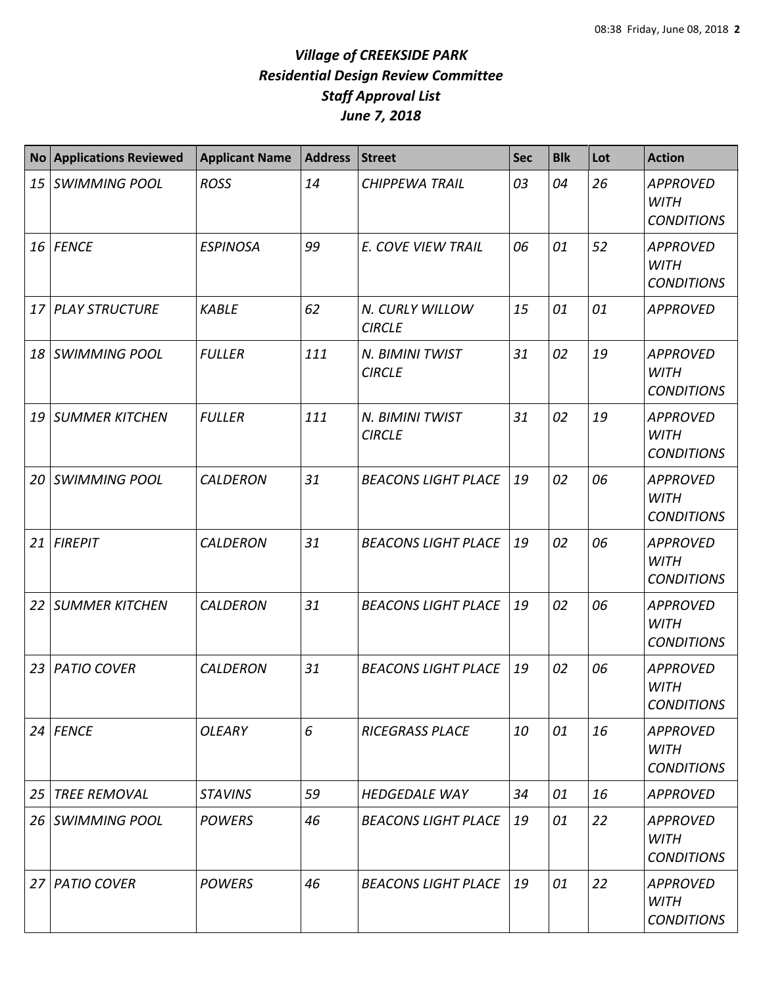| <b>No</b> | <b>Applications Reviewed</b> | <b>Applicant Name</b> | <b>Address</b> | <b>Street</b>                    | <b>Sec</b> | <b>Blk</b> | Lot | <b>Action</b>                                       |
|-----------|------------------------------|-----------------------|----------------|----------------------------------|------------|------------|-----|-----------------------------------------------------|
|           | 15 SWIMMING POOL             | <b>ROSS</b>           | 14             | <b>CHIPPEWA TRAIL</b>            | 03         | 04         | 26  | <b>APPROVED</b><br><b>WITH</b><br><b>CONDITIONS</b> |
|           | 16 FENCE                     | <b>ESPINOSA</b>       | 99             | E. COVE VIEW TRAIL               | 06         | 01         | 52  | <b>APPROVED</b><br><b>WITH</b><br><b>CONDITIONS</b> |
|           | 17 PLAY STRUCTURE            | <b>KABLE</b>          | 62             | N. CURLY WILLOW<br><b>CIRCLE</b> | 15         | 01         | 01  | <b>APPROVED</b>                                     |
|           | 18 SWIMMING POOL             | <b>FULLER</b>         | 111            | N. BIMINI TWIST<br><b>CIRCLE</b> | 31         | 02         | 19  | <b>APPROVED</b><br><b>WITH</b><br><b>CONDITIONS</b> |
|           | 19 SUMMER KITCHEN            | <b>FULLER</b>         | 111            | N. BIMINI TWIST<br><b>CIRCLE</b> | 31         | 02         | 19  | <b>APPROVED</b><br><b>WITH</b><br><b>CONDITIONS</b> |
| 20        | <b>SWIMMING POOL</b>         | <b>CALDERON</b>       | 31             | <b>BEACONS LIGHT PLACE</b>       | 19         | 02         | 06  | <b>APPROVED</b><br><b>WITH</b><br><b>CONDITIONS</b> |
|           | 21 FIREPIT                   | <b>CALDERON</b>       | 31             | <b>BEACONS LIGHT PLACE</b>       | 19         | 02         | 06  | <b>APPROVED</b><br><b>WITH</b><br><b>CONDITIONS</b> |
| 22        | <b>SUMMER KITCHEN</b>        | <b>CALDERON</b>       | 31             | <b>BEACONS LIGHT PLACE</b>       | 19         | 02         | 06  | <b>APPROVED</b><br><b>WITH</b><br><b>CONDITIONS</b> |
| 23        | <b>PATIO COVER</b>           | <b>CALDERON</b>       | 31             | <b>BEACONS LIGHT PLACE</b>       | 19         | 02         | 06  | <b>APPROVED</b><br><b>WITH</b><br><b>CONDITIONS</b> |
|           | $24$ FENCE                   | <b>OLEARY</b>         | 6              | <b>RICEGRASS PLACE</b>           | 10         | 01         | 16  | <b>APPROVED</b><br>WITH<br><b>CONDITIONS</b>        |
| 25        | <b>TREE REMOVAL</b>          | <b>STAVINS</b>        | 59             | <b>HEDGEDALE WAY</b>             | 34         | 01         | 16  | <b>APPROVED</b>                                     |
|           | 26 SWIMMING POOL             | <b>POWERS</b>         | 46             | <b>BEACONS LIGHT PLACE</b>       | 19         | 01         | 22  | <b>APPROVED</b><br>WITH<br><b>CONDITIONS</b>        |
| 27 I      | <b>PATIO COVER</b>           | <b>POWERS</b>         | 46             | <b>BEACONS LIGHT PLACE</b>       | 19         | 01         | 22  | <b>APPROVED</b><br>WITH<br><b>CONDITIONS</b>        |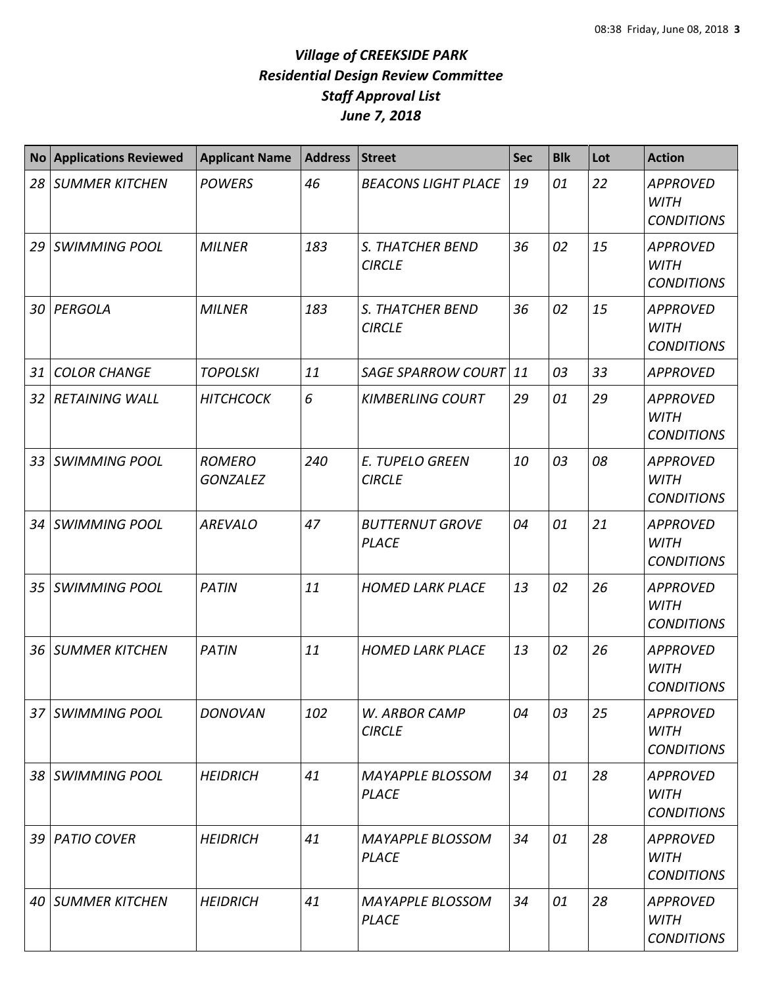| <b>No</b>       | <b>Applications Reviewed</b> | <b>Applicant Name</b>            | <b>Address</b> | <b>Street</b>                           | <b>Sec</b> | <b>Blk</b> | Lot | <b>Action</b>                                       |
|-----------------|------------------------------|----------------------------------|----------------|-----------------------------------------|------------|------------|-----|-----------------------------------------------------|
| 28              | <b>SUMMER KITCHEN</b>        | <b>POWERS</b>                    | 46             | <b>BEACONS LIGHT PLACE</b>              | 19         | 01         | 22  | <b>APPROVED</b><br><b>WITH</b><br><b>CONDITIONS</b> |
| 29              | <b>SWIMMING POOL</b>         | <b>MILNER</b>                    | 183            | S. THATCHER BEND<br><b>CIRCLE</b>       | 36         | 02         | 15  | <b>APPROVED</b><br><b>WITH</b><br><b>CONDITIONS</b> |
| 30              | PERGOLA                      | <b>MILNER</b>                    | 183            | S. THATCHER BEND<br><b>CIRCLE</b>       | 36         | 02         | 15  | <b>APPROVED</b><br><b>WITH</b><br><b>CONDITIONS</b> |
| 31              | <b>COLOR CHANGE</b>          | <b>TOPOLSKI</b>                  | 11             | <b>SAGE SPARROW COURT</b>               | 11         | 03         | 33  | <b>APPROVED</b>                                     |
| 32              | <b>RETAINING WALL</b>        | <b>HITCHCOCK</b>                 | 6              | <b>KIMBERLING COURT</b>                 | 29         | 01         | 29  | <b>APPROVED</b><br><b>WITH</b><br><b>CONDITIONS</b> |
| 33              | <b>SWIMMING POOL</b>         | <b>ROMERO</b><br><b>GONZALEZ</b> | 240            | <b>E. TUPELO GREEN</b><br><b>CIRCLE</b> | 10         | 03         | 08  | <b>APPROVED</b><br><b>WITH</b><br><b>CONDITIONS</b> |
| 34              | <b>SWIMMING POOL</b>         | <b>AREVALO</b>                   | 47             | <b>BUTTERNUT GROVE</b><br><b>PLACE</b>  | 04         | 01         | 21  | <b>APPROVED</b><br><b>WITH</b><br><b>CONDITIONS</b> |
| 35              | <b>SWIMMING POOL</b>         | <b>PATIN</b>                     | 11             | <b>HOMED LARK PLACE</b>                 | 13         | 02         | 26  | <b>APPROVED</b><br><b>WITH</b><br><b>CONDITIONS</b> |
| 36              | <b>SUMMER KITCHEN</b>        | <b>PATIN</b>                     | 11             | <b>HOMED LARK PLACE</b>                 | 13         | 02         | 26  | <b>APPROVED</b><br><b>WITH</b><br><b>CONDITIONS</b> |
| 37 <sup>1</sup> | <b>SWIMMING POOL</b>         | <b>DONOVAN</b>                   | 102            | W. ARBOR CAMP<br><b>CIRCLE</b>          | 04         | 03         | 25  | <b>APPROVED</b><br><b>WITH</b><br><b>CONDITIONS</b> |
|                 | 38 SWIMMING POOL             | <b>HEIDRICH</b>                  | 41             | <b>MAYAPPLE BLOSSOM</b><br><b>PLACE</b> | 34         | 01         | 28  | <b>APPROVED</b><br><b>WITH</b><br><b>CONDITIONS</b> |
| 39              | <b>PATIO COVER</b>           | <b>HEIDRICH</b>                  | 41             | <b>MAYAPPLE BLOSSOM</b><br><b>PLACE</b> | 34         | 01         | 28  | <b>APPROVED</b><br><b>WITH</b><br><b>CONDITIONS</b> |
| 40              | <b>SUMMER KITCHEN</b>        | <b>HEIDRICH</b>                  | 41             | <b>MAYAPPLE BLOSSOM</b><br><b>PLACE</b> | 34         | 01         | 28  | <b>APPROVED</b><br><b>WITH</b><br><b>CONDITIONS</b> |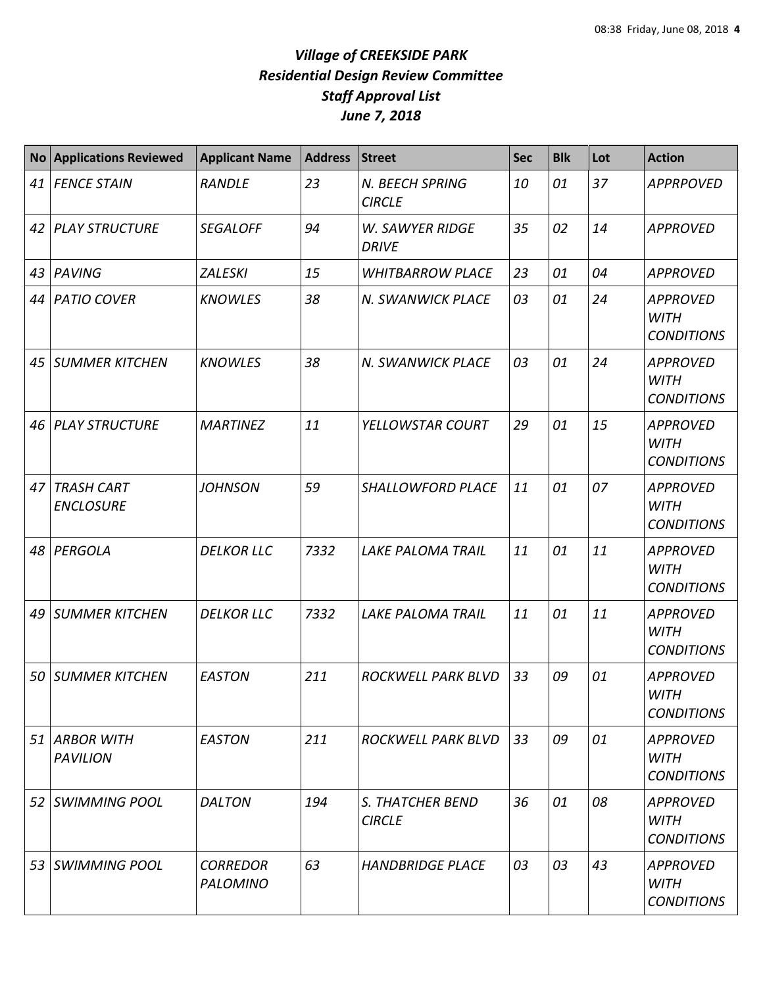| <b>No</b> | <b>Applications Reviewed</b>      | <b>Applicant Name</b>       | <b>Address</b> | <b>Street</b>                          | <b>Sec</b> | <b>Blk</b> | Lot | <b>Action</b>                                       |
|-----------|-----------------------------------|-----------------------------|----------------|----------------------------------------|------------|------------|-----|-----------------------------------------------------|
|           | 41 FENCE STAIN                    | <b>RANDLE</b>               | 23             | N. BEECH SPRING<br><b>CIRCLE</b>       | 10         | 01         | 37  | <b>APPRPOVED</b>                                    |
|           | 42 PLAY STRUCTURE                 | <b>SEGALOFF</b>             | 94             | <b>W. SAWYER RIDGE</b><br><b>DRIVE</b> | 35         | 02         | 14  | <b>APPROVED</b>                                     |
|           | 43 PAVING                         | <b>ZALESKI</b>              | 15             | <b>WHITBARROW PLACE</b>                | 23         | 01         | 04  | <b>APPROVED</b>                                     |
|           | 44   PATIO COVER                  | <b>KNOWLES</b>              | 38             | N. SWANWICK PLACE                      | 03         | 01         | 24  | <b>APPROVED</b><br><b>WITH</b><br><b>CONDITIONS</b> |
|           | 45   SUMMER KITCHEN               | <b>KNOWLES</b>              | 38             | N. SWANWICK PLACE                      | 03         | 01         | 24  | <b>APPROVED</b><br><b>WITH</b><br><b>CONDITIONS</b> |
|           | 46 PLAY STRUCTURE                 | <b>MARTINEZ</b>             | 11             | YELLOWSTAR COURT                       | 29         | 01         | 15  | <b>APPROVED</b><br><b>WITH</b><br><b>CONDITIONS</b> |
|           | 47 TRASH CART<br><b>ENCLOSURE</b> | <b>JOHNSON</b>              | 59             | SHALLOWFORD PLACE                      | 11         | 01         | 07  | <b>APPROVED</b><br><b>WITH</b><br><b>CONDITIONS</b> |
| 48        | PERGOLA                           | <b>DELKOR LLC</b>           | 7332           | <b>LAKE PALOMA TRAIL</b>               | 11         | 01         | 11  | <b>APPROVED</b><br><b>WITH</b><br><b>CONDITIONS</b> |
|           | 49 SUMMER KITCHEN                 | <b>DELKOR LLC</b>           | 7332           | LAKE PALOMA TRAIL                      | 11         | 01         | 11  | <b>APPROVED</b><br><b>WITH</b><br><b>CONDITIONS</b> |
|           | 50 SUMMER KITCHEN                 | <b>EASTON</b>               | 211            | <b>ROCKWELL PARK BLVD</b>              | 33         | 09         | 01  | <b>APPROVED</b><br><b>WITH</b><br><b>CONDITIONS</b> |
|           | 51 ARBOR WITH<br><b>PAVILION</b>  | <b>EASTON</b>               | 211            | ROCKWELL PARK BLVD                     | 33         | 09         | 01  | <b>APPROVED</b><br>WITH<br><b>CONDITIONS</b>        |
|           | 52 SWIMMING POOL                  | <b>DALTON</b>               | 194            | S. THATCHER BEND<br><b>CIRCLE</b>      | 36         | 01         | 08  | <b>APPROVED</b><br>WITH<br><b>CONDITIONS</b>        |
|           | 53 SWIMMING POOL                  | <b>CORREDOR</b><br>PALOMINO | 63             | <b>HANDBRIDGE PLACE</b>                | 03         | 03         | 43  | <b>APPROVED</b><br>WITH<br><b>CONDITIONS</b>        |